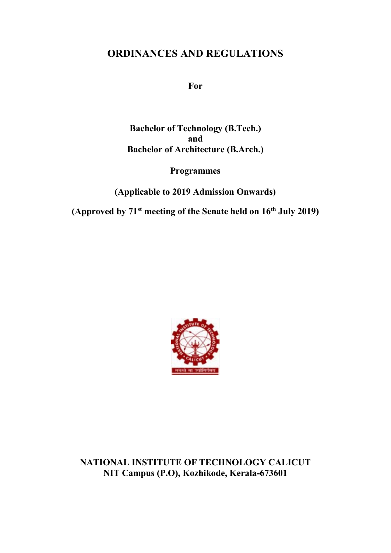# **ORDINANCES AND REGULATIONS**

**For**

**Bachelor of Technology (B.Tech.) and Bachelor of Architecture (B.Arch.)**

**Programmes**

**(Applicable to 2019 Admission Onwards)**

**(Approved by 71st meeting of the Senate held on 16th July 2019)**



**NATIONAL INSTITUTE OF TECHNOLOGY CALICUT NIT Campus (P.O), Kozhikode, Kerala-673601**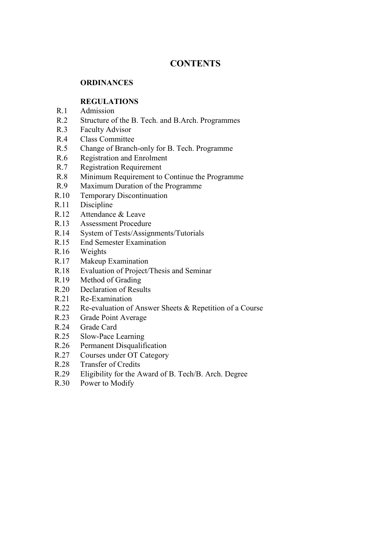## **CONTENTS**

#### **ORDINANCES**

## **REGULATIONS**

- R.1 Admission
- R.2 Structure of the B. Tech. and B.Arch. Programmes
- R.3 Faculty Advisor
- R.4 Class Committee
- R.5 Change of Branch-only for B. Tech. Programme
- R.6 Registration and Enrolment
- R.7 Registration Requirement
- R.8 Minimum Requirement to Continue the Programme
- R.9 Maximum Duration of the Programme
- R.10 Temporary Discontinuation
- R.11 Discipline
- R.12 Attendance & Leave
- R.13 Assessment Procedure
- R.14 System of Tests/Assignments/Tutorials
- R.15 End Semester Examination
- R.16 Weights
- R.17 Makeup Examination
- R.18 Evaluation of Project/Thesis and Seminar
- R.19 Method of Grading
- R.20 Declaration of Results
- R.21 Re-Examination
- R.22 Re-evaluation of Answer Sheets & Repetition of a Course
- R.23 Grade Point Average
- R.24 Grade Card
- R.25 Slow-Pace Learning
- R.26 Permanent Disqualification
- R.27 Courses under OT Category
- R.28 Transfer of Credits
- R.29 Eligibility for the Award of B. Tech/B. Arch. Degree
- R.30 Power to Modify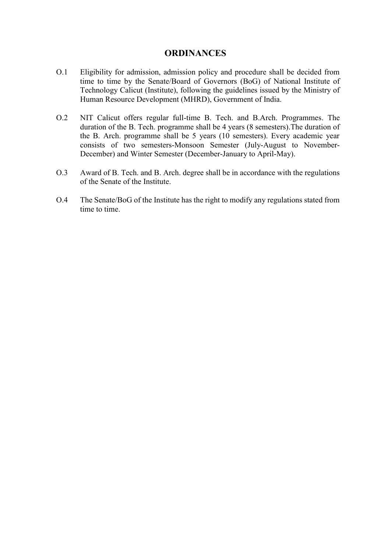## **ORDINANCES**

- O.1 Eligibility for admission, admission policy and procedure shall be decided from time to time by the Senate/Board of Governors (BoG) of National Institute of Technology Calicut (Institute), following the guidelines issued by the Ministry of Human Resource Development (MHRD), Government of India.
- O.2 NIT Calicut offers regular full-time B. Tech. and B.Arch. Programmes. The duration of the B. Tech. programme shall be 4 years (8 semesters).The duration of the B. Arch. programme shall be 5 years (10 semesters). Every academic year consists of two semesters-Monsoon Semester (July-August to November-December) and Winter Semester (December-January to April-May).
- O.3 Award of B. Tech. and B. Arch. degree shall be in accordance with the regulations of the Senate of the Institute.
- O.4 The Senate/BoG of the Institute has the right to modify any regulations stated from time to time.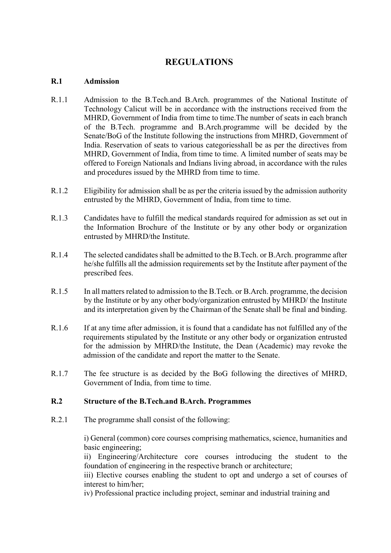## **REGULATIONS**

#### **R.1 Admission**

- R.1.1 Admission to the B.Tech.and B.Arch. programmes of the National Institute of Technology Calicut will be in accordance with the instructions received from the MHRD, Government of India from time to time.The number of seats in each branch of the B.Tech. programme and B.Arch.programme will be decided by the Senate/BoG of the Institute following the instructions from MHRD, Government of India. Reservation of seats to various categoriesshall be as per the directives from MHRD, Government of India, from time to time. A limited number of seats may be offered to Foreign Nationals and Indians living abroad, in accordance with the rules and procedures issued by the MHRD from time to time.
- R.1.2 Eligibility for admission shall be as per the criteria issued by the admission authority entrusted by the MHRD, Government of India, from time to time.
- R.1.3 Candidates have to fulfill the medical standards required for admission as set out in the Information Brochure of the Institute or by any other body or organization entrusted by MHRD/the Institute.
- R.1.4 The selected candidates shall be admitted to the B.Tech. or B.Arch. programme after he/she fulfills all the admission requirements set by the Institute after payment of the prescribed fees.
- R.1.5 In all matters related to admission to the B.Tech. or B.Arch. programme, the decision by the Institute or by any other body/organization entrusted by MHRD/ the Institute and its interpretation given by the Chairman of the Senate shall be final and binding.
- R.1.6 If at any time after admission, it is found that a candidate has not fulfilled any of the requirements stipulated by the Institute or any other body or organization entrusted for the admission by MHRD/the Institute, the Dean (Academic) may revoke the admission of the candidate and report the matter to the Senate.
- R.1.7 The fee structure is as decided by the BoG following the directives of MHRD, Government of India, from time to time.

## **R.2 Structure of the B.Tech.and B.Arch. Programmes**

R.2.1 The programme shall consist of the following:

i) General (common) core courses comprising mathematics, science, humanities and basic engineering;

ii) Engineering/Architecture core courses introducing the student to the foundation of engineering in the respective branch or architecture;

iii) Elective courses enabling the student to opt and undergo a set of courses of interest to him/her;

iv) Professional practice including project, seminar and industrial training and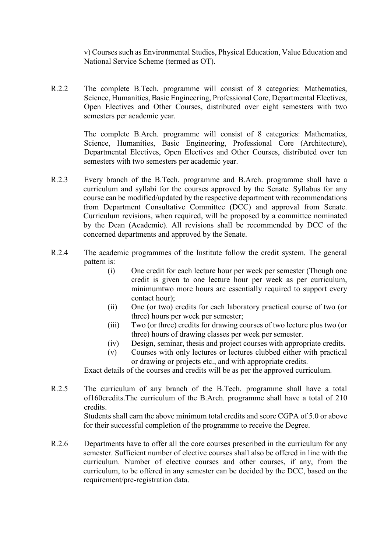v) Courses such as Environmental Studies, Physical Education, Value Education and National Service Scheme (termed as OT).

R.2.2 The complete B.Tech. programme will consist of 8 categories: Mathematics, Science, Humanities, Basic Engineering, Professional Core, Departmental Electives, Open Electives and Other Courses, distributed over eight semesters with two semesters per academic year.

> The complete B.Arch. programme will consist of 8 categories: Mathematics, Science, Humanities, Basic Engineering, Professional Core (Architecture), Departmental Electives, Open Electives and Other Courses, distributed over ten semesters with two semesters per academic year.

- R.2.3 Every branch of the B.Tech. programme and B.Arch. programme shall have a curriculum and syllabi for the courses approved by the Senate. Syllabus for any course can be modified/updated by the respective department with recommendations from Department Consultative Committee (DCC) and approval from Senate. Curriculum revisions, when required, will be proposed by a committee nominated by the Dean (Academic). All revisions shall be recommended by DCC of the concerned departments and approved by the Senate.
- R.2.4 The academic programmes of the Institute follow the credit system. The general pattern is:
	- (i) One credit for each lecture hour per week per semester (Though one credit is given to one lecture hour per week as per curriculum, minimumtwo more hours are essentially required to support every contact hour);
	- (ii) One (or two) credits for each laboratory practical course of two (or three) hours per week per semester;
	- (iii) Two (or three) credits for drawing courses of two lecture plus two (or three) hours of drawing classes per week per semester.
	- (iv) Design, seminar, thesis and project courses with appropriate credits.
	- (v) Courses with only lectures or lectures clubbed either with practical or drawing or projects etc., and with appropriate credits.

Exact details of the courses and credits will be as per the approved curriculum.

R.2.5 The curriculum of any branch of the B.Tech. programme shall have a total of160credits.The curriculum of the B.Arch. programme shall have a total of 210 credits.

Students shall earn the above minimum total credits and score CGPA of 5.0 or above for their successful completion of the programme to receive the Degree.

R.2.6 Departments have to offer all the core courses prescribed in the curriculum for any semester. Sufficient number of elective courses shall also be offered in line with the curriculum. Number of elective courses and other courses, if any, from the curriculum, to be offered in any semester can be decided by the DCC, based on the requirement/pre-registration data.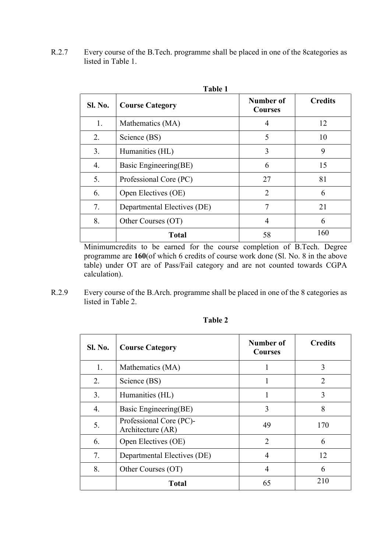R.2.7 Every course of the B.Tech. programme shall be placed in one of the 8categories as listed in Table 1.

| <b>Table 1</b> |                             |                             |                |  |
|----------------|-----------------------------|-----------------------------|----------------|--|
| Sl. No.        | <b>Course Category</b>      | Number of<br><b>Courses</b> | <b>Credits</b> |  |
| 1.             | Mathematics (MA)            | 4                           | 12             |  |
| 2.             | Science (BS)                | 5                           | 10             |  |
| 3.             | Humanities (HL)             | 3                           | 9              |  |
| 4.             | Basic Engineering(BE)       | 6                           | 15             |  |
| 5.             | Professional Core (PC)      | 27                          | 81             |  |
| 6.             | Open Electives (OE)         | $\overline{2}$              | 6              |  |
| 7.             | Departmental Electives (DE) | 7                           | 21             |  |
| 8.             | Other Courses (OT)          | 4                           | 6              |  |
|                | <b>Total</b>                | 58                          | 160            |  |

Minimumcredits to be earned for the course completion of B.Tech. Degree programme are **160**(of which 6 credits of course work done (Sl. No. 8 in the above table) under OT are of Pass/Fail category and are not counted towards CGPA calculation).

R.2.9 Every course of the B.Arch. programme shall be placed in one of the 8 categories as listed in Table 2.

| <b>Sl. No.</b> | <b>Course Category</b>                       | Number of<br><b>Courses</b> | <b>Credits</b>              |
|----------------|----------------------------------------------|-----------------------------|-----------------------------|
| 1.             | Mathematics (MA)                             |                             | 3                           |
| 2.             | Science (BS)                                 |                             | $\mathcal{D}_{\mathcal{L}}$ |
| 3.             | Humanities (HL)                              |                             | 3                           |
| 4.             | Basic Engineering(BE)                        | 3                           | 8                           |
| 5.             | Professional Core (PC)-<br>Architecture (AR) | 49                          | 170                         |
| 6.             | Open Electives (OE)                          | $\mathcal{D}_{\mathcal{L}}$ | 6                           |
| 7.             | Departmental Electives (DE)                  | 4                           | 12                          |
| 8.             | Other Courses (OT)                           | 4                           | 6                           |
|                | <b>Total</b>                                 | 65                          | 210                         |

#### **Table 2**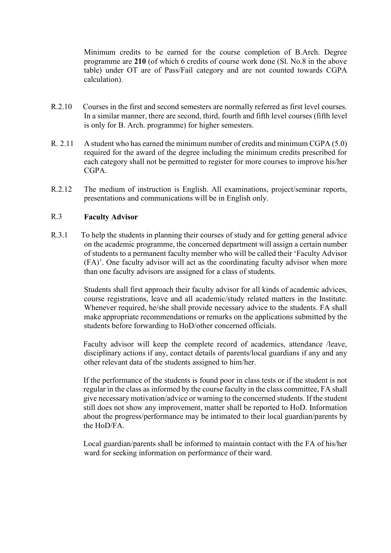Minimum credits to be earned for the course completion of B.Arch. Degree programme are **210** (of which 6 credits of course work done (Sl. No.8 in the above table) under OT are of Pass/Fail category and are not counted towards CGPA calculation).

- R.2.10 Courses in the first and second semesters are normally referred as first level courses. In a similar manner, there are second, third, fourth and fifth level courses (fifth level is only for B. Arch. programme) for higher semesters.
- R. 2.11 A student who has earned the minimum number of credits and minimum CGPA (5.0) required for the award of the degree including the minimum credits prescribed for each category shall not be permitted to register for more courses to improve his/her CGPA.
- R.2.12 The medium of instruction is English. All examinations, project/seminar reports, presentations and communications will be in English only.

## R.3 **Faculty Advisor**

R.3.1 To help the students in planning their courses of study and for getting general advice on the academic programme, the concerned department will assign a certain number of students to a permanent faculty member who will be called their 'Faculty Advisor (FA)'. One faculty advisor will act as the coordinating faculty advisor when more than one faculty advisors are assigned for a class of students.

> Students shall first approach their faculty advisor for all kinds of academic advices, course registrations, leave and all academic/study related matters in the Institute. Whenever required, he/she shall provide necessary advice to the students. FA shall make appropriate recommendations or remarks on the applications submitted by the students before forwarding to HoD/other concerned officials.

> Faculty advisor will keep the complete record of academics, attendance /leave, disciplinary actions if any, contact details of parents/local guardians if any and any other relevant data of the students assigned to him/her.

> If the performance of the students is found poor in class tests or if the student is not regular in the class as informed by the course faculty in the class committee, FA shall give necessary motivation/advice or warning to the concerned students. If the student still does not show any improvement, matter shall be reported to HoD. Information about the progress/performance may be intimated to their local guardian/parents by the HoD/FA.

> Local guardian/parents shall be informed to maintain contact with the FA of his/her ward for seeking information on performance of their ward.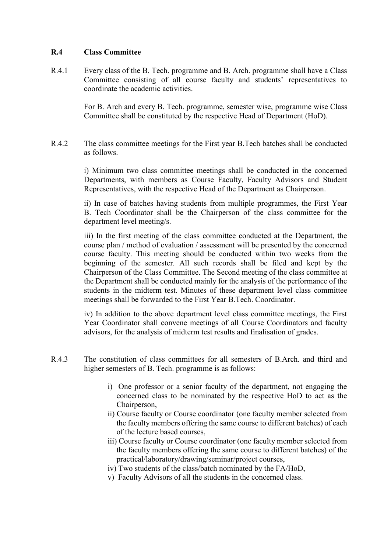### **R.4 Class Committee**

R.4.1 Every class of the B. Tech. programme and B. Arch. programme shall have a Class Committee consisting of all course faculty and students' representatives to coordinate the academic activities.

> For B. Arch and every B. Tech. programme, semester wise, programme wise Class Committee shall be constituted by the respective Head of Department (HoD).

R.4.2 The class committee meetings for the First year B.Tech batches shall be conducted as follows.

> i) Minimum two class committee meetings shall be conducted in the concerned Departments, with members as Course Faculty, Faculty Advisors and Student Representatives, with the respective Head of the Department as Chairperson.

> ii) In case of batches having students from multiple programmes, the First Year B. Tech Coordinator shall be the Chairperson of the class committee for the department level meeting/s.

> iii) In the first meeting of the class committee conducted at the Department, the course plan / method of evaluation / assessment will be presented by the concerned course faculty. This meeting should be conducted within two weeks from the beginning of the semester. All such records shall be filed and kept by the Chairperson of the Class Committee. The Second meeting of the class committee at the Department shall be conducted mainly for the analysis of the performance of the students in the midterm test. Minutes of these department level class committee meetings shall be forwarded to the First Year B.Tech. Coordinator.

> iv) In addition to the above department level class committee meetings, the First Year Coordinator shall convene meetings of all Course Coordinators and faculty advisors, for the analysis of midterm test results and finalisation of grades.

- R.4.3 The constitution of class committees for all semesters of B.Arch. and third and higher semesters of B. Tech. programme is as follows:
	- i) One professor or a senior faculty of the department, not engaging the concerned class to be nominated by the respective HoD to act as the Chairperson,
	- ii) Course faculty or Course coordinator (one faculty member selected from the faculty members offering the same course to different batches) of each of the lecture based courses,
	- iii) Course faculty or Course coordinator (one faculty member selected from the faculty members offering the same course to different batches) of the practical/laboratory/drawing/seminar/project courses,
	- iv) Two students of the class/batch nominated by the FA/HoD,
	- v) Faculty Advisors of all the students in the concerned class.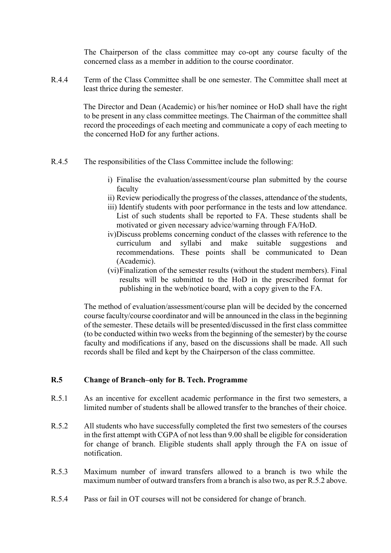The Chairperson of the class committee may co-opt any course faculty of the concerned class as a member in addition to the course coordinator.

R.4.4 Term of the Class Committee shall be one semester. The Committee shall meet at least thrice during the semester.

> The Director and Dean (Academic) or his/her nominee or HoD shall have the right to be present in any class committee meetings. The Chairman of the committee shall record the proceedings of each meeting and communicate a copy of each meeting to the concerned HoD for any further actions.

- R.4.5 The responsibilities of the Class Committee include the following:
	- i) Finalise the evaluation/assessment/course plan submitted by the course faculty
	- ii) Review periodically the progress of the classes, attendance of the students,
	- iii) Identify students with poor performance in the tests and low attendance. List of such students shall be reported to FA. These students shall be motivated or given necessary advice/warning through FA/HoD.
	- iv)Discuss problems concerning conduct of the classes with reference to the curriculum and syllabi and make suitable suggestions and recommendations. These points shall be communicated to Dean (Academic).
	- (vi)Finalization of the semester results (without the student members). Final results will be submitted to the HoD in the prescribed format for publishing in the web/notice board, with a copy given to the FA.

The method of evaluation/assessment/course plan will be decided by the concerned course faculty/course coordinator and will be announced in the class in the beginning of the semester. These details will be presented/discussed in the first class committee (to be conducted within two weeks from the beginning of the semester) by the course faculty and modifications if any, based on the discussions shall be made. All such records shall be filed and kept by the Chairperson of the class committee.

#### **R.5 Change of Branch–only for B. Tech. Programme**

- R.5.1 As an incentive for excellent academic performance in the first two semesters, a limited number of students shall be allowed transfer to the branches of their choice.
- R.5.2 All students who have successfully completed the first two semesters of the courses in the first attempt with CGPA of not less than 9.00 shall be eligible for consideration for change of branch. Eligible students shall apply through the FA on issue of notification.
- R.5.3 Maximum number of inward transfers allowed to a branch is two while the maximum number of outward transfers from a branch is also two, as per R.5.2 above.
- R.5.4 Pass or fail in OT courses will not be considered for change of branch.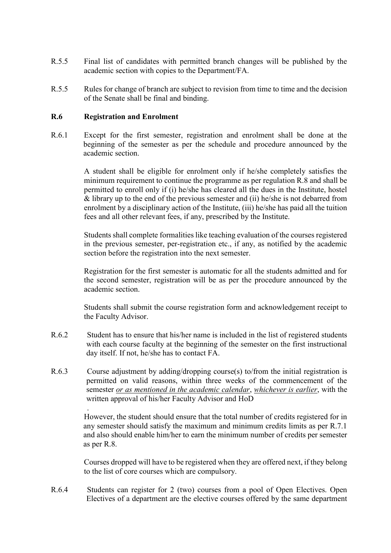- R.5.5 Final list of candidates with permitted branch changes will be published by the academic section with copies to the Department/FA.
- R.5.5 Rules for change of branch are subject to revision from time to time and the decision of the Senate shall be final and binding.

#### **R.6 Registration and Enrolment**

.

R.6.1 Except for the first semester, registration and enrolment shall be done at the beginning of the semester as per the schedule and procedure announced by the academic section.

> A student shall be eligible for enrolment only if he/she completely satisfies the minimum requirement to continue the programme as per regulation R.8 and shall be permitted to enroll only if (i) he/she has cleared all the dues in the Institute, hostel & library up to the end of the previous semester and (ii) he/she is not debarred from enrolment by a disciplinary action of the Institute, (iii) he/she has paid all the tuition fees and all other relevant fees, if any, prescribed by the Institute.

> Students shall complete formalities like teaching evaluation of the courses registered in the previous semester, per-registration etc., if any, as notified by the academic section before the registration into the next semester.

> Registration for the first semester is automatic for all the students admitted and for the second semester, registration will be as per the procedure announced by the academic section.

> Students shall submit the course registration form and acknowledgement receipt to the Faculty Advisor.

- R.6.2 Student has to ensure that his/her name is included in the list of registered students with each course faculty at the beginning of the semester on the first instructional day itself. If not, he/she has to contact FA.
- R.6.3 Course adjustment by adding/dropping course(s) to/from the initial registration is permitted on valid reasons, within three weeks of the commencement of the semester *or as mentioned in the academic calendar*, *whichever is earlier*, with the written approval of his/her Faculty Advisor and HoD

However, the student should ensure that the total number of credits registered for in any semester should satisfy the maximum and minimum credits limits as per R.7.1 and also should enable him/her to earn the minimum number of credits per semester as per R.8.

Courses dropped will have to be registered when they are offered next, if they belong to the list of core courses which are compulsory.

R.6.4 Students can register for 2 (two) courses from a pool of Open Electives. Open Electives of a department are the elective courses offered by the same department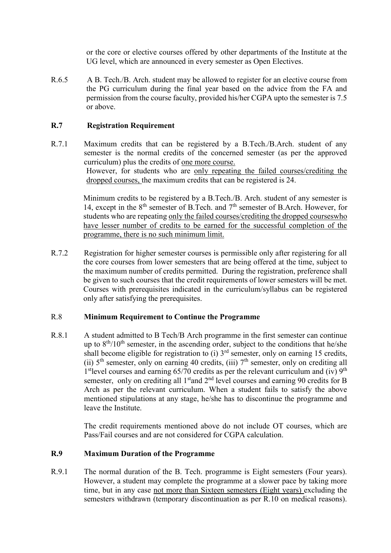or the core or elective courses offered by other departments of the Institute at the UG level, which are announced in every semester as Open Electives.

R.6.5 A B. Tech./B. Arch. student may be allowed to register for an elective course from the PG curriculum during the final year based on the advice from the FA and permission from the course faculty, provided his/her CGPA upto the semester is 7.5 or above.

## **R.7 Registration Requirement**

R.7.1 Maximum credits that can be registered by a B.Tech./B.Arch. student of any semester is the normal credits of the concerned semester (as per the approved curriculum) plus the credits of one more course. However, for students who are only repeating the failed courses/crediting the dropped courses, the maximum credits that can be registered is 24.

> Minimum credits to be registered by a B.Tech./B. Arch. student of any semester is 14, except in the 8<sup>th</sup> semester of B.Tech. and 7<sup>th</sup> semester of B.Arch. However, for students who are repeating only the failed courses/crediting the dropped courseswho have lesser number of credits to be earned for the successful completion of the programme, there is no such minimum limit.

R.7.2 Registration for higher semester courses is permissible only after registering for all the core courses from lower semesters that are being offered at the time, subject to the maximum number of credits permitted. During the registration, preference shall be given to such courses that the credit requirements of lower semesters will be met. Courses with prerequisites indicated in the curriculum/syllabus can be registered only after satisfying the prerequisites.

## R.8 **Minimum Requirement to Continue the Programme**

R.8.1 A student admitted to B Tech/B Arch programme in the first semester can continue up to  $8<sup>th</sup>/10<sup>th</sup>$  semester, in the ascending order, subject to the conditions that he/she shall become eligible for registration to  $(i)$  3<sup>rd</sup> semester, only on earning 15 credits, (ii)  $5<sup>th</sup>$  semester, only on earning 40 credits, (iii)  $7<sup>th</sup>$  semester, only on crediting all 1<sup>st</sup>level courses and earning 65/70 credits as per the relevant curriculum and (iv)  $9<sup>th</sup>$ semester, only on crediting all  $1<sup>st</sup>$  and  $2<sup>nd</sup>$  level courses and earning 90 credits for B Arch as per the relevant curriculum. When a student fails to satisfy the above mentioned stipulations at any stage, he/she has to discontinue the programme and leave the Institute.

> The credit requirements mentioned above do not include OT courses, which are Pass/Fail courses and are not considered for CGPA calculation.

## **R.9 Maximum Duration of the Programme**

R.9.1 The normal duration of the B. Tech. programme is Eight semesters (Four years). However, a student may complete the programme at a slower pace by taking more time, but in any case not more than Sixteen semesters (Eight years) excluding the semesters withdrawn (temporary discontinuation as per R.10 on medical reasons).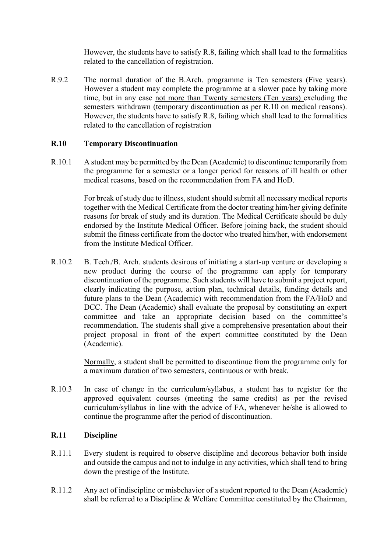However, the students have to satisfy R.8, failing which shall lead to the formalities related to the cancellation of registration.

R.9.2 The normal duration of the B.Arch. programme is Ten semesters (Five years). However a student may complete the programme at a slower pace by taking more time, but in any case not more than Twenty semesters (Ten years) excluding the semesters withdrawn (temporary discontinuation as per R.10 on medical reasons). However, the students have to satisfy R.8, failing which shall lead to the formalities related to the cancellation of registration

#### **R.10 Temporary Discontinuation**

R.10.1 A student may be permitted by the Dean (Academic) to discontinue temporarily from the programme for a semester or a longer period for reasons of ill health or other medical reasons, based on the recommendation from FA and HoD.

> For break of study due to illness, student should submit all necessary medical reports together with the Medical Certificate from the doctor treating him/her giving definite reasons for break of study and its duration. The Medical Certificate should be duly endorsed by the Institute Medical Officer. Before joining back, the student should submit the fitness certificate from the doctor who treated him/her, with endorsement from the Institute Medical Officer.

R.10.2 B. Tech./B. Arch. students desirous of initiating a start-up venture or developing a new product during the course of the programme can apply for temporary discontinuation of the programme. Such students will have to submit a project report, clearly indicating the purpose, action plan, technical details, funding details and future plans to the Dean (Academic) with recommendation from the FA/HoD and DCC. The Dean (Academic) shall evaluate the proposal by constituting an expert committee and take an appropriate decision based on the committee's recommendation. The students shall give a comprehensive presentation about their project proposal in front of the expert committee constituted by the Dean (Academic).

> Normally, a student shall be permitted to discontinue from the programme only for a maximum duration of two semesters, continuous or with break.

R.10.3 In case of change in the curriculum/syllabus, a student has to register for the approved equivalent courses (meeting the same credits) as per the revised curriculum/syllabus in line with the advice of FA, whenever he/she is allowed to continue the programme after the period of discontinuation.

## **R.11 Discipline**

- R.11.1 Every student is required to observe discipline and decorous behavior both inside and outside the campus and not to indulge in any activities, which shall tend to bring down the prestige of the Institute.
- R.11.2 Any act of indiscipline or misbehavior of a student reported to the Dean (Academic) shall be referred to a Discipline & Welfare Committee constituted by the Chairman,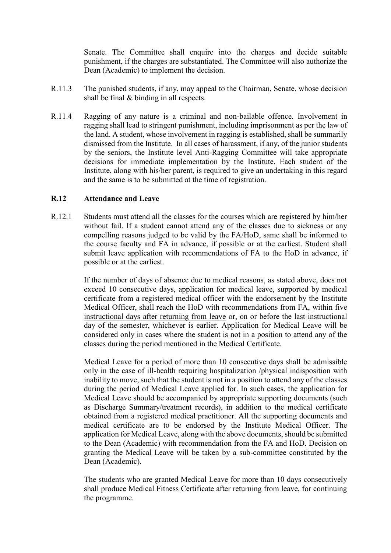Senate. The Committee shall enquire into the charges and decide suitable punishment, if the charges are substantiated. The Committee will also authorize the Dean (Academic) to implement the decision.

- R.11.3 The punished students, if any, may appeal to the Chairman, Senate, whose decision shall be final & binding in all respects.
- R.11.4 Ragging of any nature is a criminal and non-bailable offence. Involvement in ragging shall lead to stringent punishment, including imprisonment as per the law of the land. A student, whose involvement in ragging is established, shall be summarily dismissed from the Institute. In all cases of harassment, if any, of the junior students by the seniors, the Institute level Anti-Ragging Committee will take appropriate decisions for immediate implementation by the Institute. Each student of the Institute, along with his/her parent, is required to give an undertaking in this regard and the same is to be submitted at the time of registration.

#### **R.12 Attendance and Leave**

R.12.1 Students must attend all the classes for the courses which are registered by him/her without fail. If a student cannot attend any of the classes due to sickness or any compelling reasons judged to be valid by the FA/HoD, same shall be informed to the course faculty and FA in advance, if possible or at the earliest. Student shall submit leave application with recommendations of FA to the HoD in advance, if possible or at the earliest.

> If the number of days of absence due to medical reasons, as stated above, does not exceed 10 consecutive days, application for medical leave, supported by medical certificate from a registered medical officer with the endorsement by the Institute Medical Officer, shall reach the HoD with recommendations from FA, within five instructional days after returning from leave or, on or before the last instructional day of the semester, whichever is earlier. Application for Medical Leave will be considered only in cases where the student is not in a position to attend any of the classes during the period mentioned in the Medical Certificate.

> Medical Leave for a period of more than 10 consecutive days shall be admissible only in the case of ill-health requiring hospitalization /physical indisposition with inability to move, such that the student is not in a position to attend any of the classes during the period of Medical Leave applied for. In such cases, the application for Medical Leave should be accompanied by appropriate supporting documents (such as Discharge Summary/treatment records), in addition to the medical certificate obtained from a registered medical practitioner. All the supporting documents and medical certificate are to be endorsed by the Institute Medical Officer. The application for Medical Leave, along with the above documents, should be submitted to the Dean (Academic) with recommendation from the FA and HoD. Decision on granting the Medical Leave will be taken by a sub-committee constituted by the Dean (Academic).

> The students who are granted Medical Leave for more than 10 days consecutively shall produce Medical Fitness Certificate after returning from leave, for continuing the programme.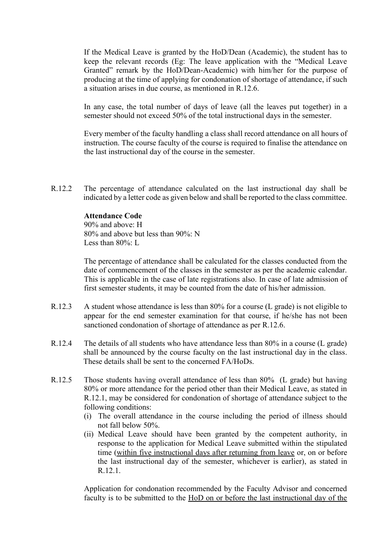If the Medical Leave is granted by the HoD/Dean (Academic), the student has to keep the relevant records (Eg: The leave application with the "Medical Leave Granted" remark by the HoD/Dean-Academic) with him/her for the purpose of producing at the time of applying for condonation of shortage of attendance, if such a situation arises in due course, as mentioned in R.12.6.

In any case, the total number of days of leave (all the leaves put together) in a semester should not exceed 50% of the total instructional days in the semester.

Every member of the faculty handling a class shall record attendance on all hours of instruction. The course faculty of the course is required to finalise the attendance on the last instructional day of the course in the semester.

R.12.2 The percentage of attendance calculated on the last instructional day shall be indicated by a letter code as given below and shall be reported to the class committee.

#### **Attendance Code**

90% and above: H 80% and above but less than 90%: N Less than 80% L

The percentage of attendance shall be calculated for the classes conducted from the date of commencement of the classes in the semester as per the academic calendar. This is applicable in the case of late registrations also. In case of late admission of first semester students, it may be counted from the date of his/her admission.

- R.12.3 A student whose attendance is less than 80% for a course (L grade) is not eligible to appear for the end semester examination for that course, if he/she has not been sanctioned condonation of shortage of attendance as per R.12.6.
- R.12.4 The details of all students who have attendance less than 80% in a course (L grade) shall be announced by the course faculty on the last instructional day in the class. These details shall be sent to the concerned FA/HoDs.
- R.12.5 Those students having overall attendance of less than 80% (L grade) but having 80% or more attendance for the period other than their Medical Leave, as stated in R.12.1, may be considered for condonation of shortage of attendance subject to the following conditions:
	- (i) The overall attendance in the course including the period of illness should not fall below 50%.
	- (ii) Medical Leave should have been granted by the competent authority, in response to the application for Medical Leave submitted within the stipulated time (within five instructional days after returning from leave or, on or before the last instructional day of the semester, whichever is earlier), as stated in R.12.1.

Application for condonation recommended by the Faculty Advisor and concerned faculty is to be submitted to the HoD on or before the last instructional day of the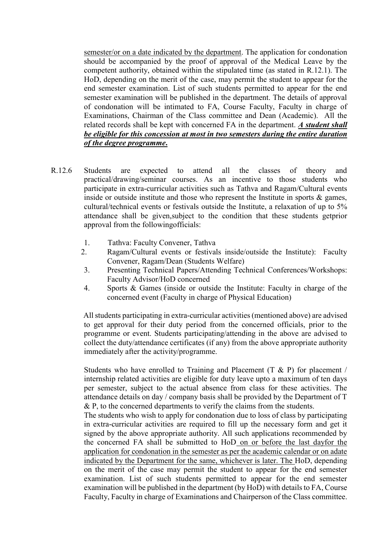semester/or on a date indicated by the department. The application for condonation should be accompanied by the proof of approval of the Medical Leave by the competent authority, obtained within the stipulated time (as stated in R.12.1). The HoD, depending on the merit of the case, may permit the student to appear for the end semester examination. List of such students permitted to appear for the end semester examination will be published in the department. The details of approval of condonation will be intimated to FA, Course Faculty, Faculty in charge of Examinations, Chairman of the Class committee and Dean (Academic). All the related records shall be kept with concerned FA in the department. *A student shall be eligible for this concession at most in two semesters during the entire duration of the degree programme***.**

- R.12.6 Students are expected to attend all the classes of theory and practical/drawing/seminar courses. As an incentive to those students who participate in extra-curricular activities such as Tathva and Ragam/Cultural events inside or outside institute and those who represent the Institute in sports  $\&$  games, cultural/technical events or festivals outside the Institute, a relaxation of up to 5% attendance shall be given,subject to the condition that these students getprior approval from the followingofficials:
	- 1. Tathva: Faculty Convener, Tathva
	- 2. Ragam/Cultural events or festivals inside/outside the Institute): Faculty Convener, Ragam/Dean (Students Welfare)
	- 3. Presenting Technical Papers/Attending Technical Conferences/Workshops: Faculty Advisor/HoD concerned
	- 4. Sports & Games (inside or outside the Institute: Faculty in charge of the concerned event (Faculty in charge of Physical Education)

All students participating in extra-curricular activities (mentioned above) are advised to get approval for their duty period from the concerned officials, prior to the programme or event. Students participating/attending in the above are advised to collect the duty/attendance certificates (if any) from the above appropriate authority immediately after the activity/programme.

Students who have enrolled to Training and Placement  $(T \& P)$  for placement / internship related activities are eligible for duty leave upto a maximum of ten days per semester, subject to the actual absence from class for these activities. The attendance details on day / company basis shall be provided by the Department of T  $\&$  P, to the concerned departments to verify the claims from the students.

The students who wish to apply for condonation due to loss of class by participating in extra-curricular activities are required to fill up the necessary form and get it signed by the above appropriate authority. All such applications recommended by the concerned FA shall be submitted to HoD on or before the last dayfor the application for condonation in the semester as per the academic calendar or on adate indicated by the Department for the same, whichever is later. The HoD, depending on the merit of the case may permit the student to appear for the end semester examination. List of such students permitted to appear for the end semester examination will be published in the department (by HoD) with details to FA, Course Faculty, Faculty in charge of Examinations and Chairperson of the Class committee.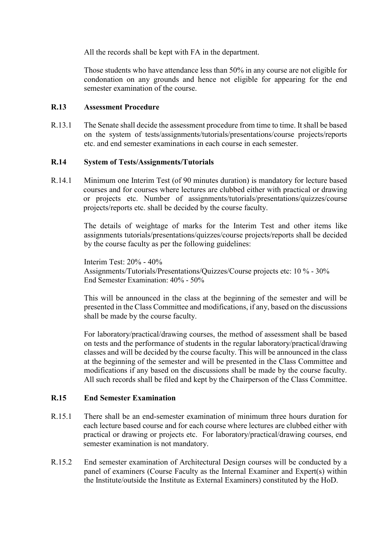All the records shall be kept with FA in the department.

Those students who have attendance less than 50% in any course are not eligible for condonation on any grounds and hence not eligible for appearing for the end semester examination of the course.

#### **R.13 Assessment Procedure**

R.13.1 The Senate shall decide the assessment procedure from time to time. It shall be based on the system of tests/assignments/tutorials/presentations/course projects/reports etc. and end semester examinations in each course in each semester.

## **R.14 System of Tests/Assignments/Tutorials**

R.14.1 Minimum one Interim Test (of 90 minutes duration) is mandatory for lecture based courses and for courses where lectures are clubbed either with practical or drawing or projects etc. Number of assignments/tutorials/presentations/quizzes/course projects/reports etc. shall be decided by the course faculty.

> The details of weightage of marks for the Interim Test and other items like assignments tutorials/presentations/quizzes/course projects/reports shall be decided by the course faculty as per the following guidelines:

Interim Test: 20% - 40% Assignments/Tutorials/Presentations/Quizzes/Course projects etc: 10 % - 30% End Semester Examination: 40% - 50%

This will be announced in the class at the beginning of the semester and will be presented in the Class Committee and modifications, if any, based on the discussions shall be made by the course faculty.

For laboratory/practical/drawing courses, the method of assessment shall be based on tests and the performance of students in the regular laboratory/practical/drawing classes and will be decided by the course faculty. This will be announced in the class at the beginning of the semester and will be presented in the Class Committee and modifications if any based on the discussions shall be made by the course faculty. All such records shall be filed and kept by the Chairperson of the Class Committee.

#### **R.15 End Semester Examination**

- R.15.1 There shall be an end-semester examination of minimum three hours duration for each lecture based course and for each course where lectures are clubbed either with practical or drawing or projects etc. For laboratory/practical/drawing courses, end semester examination is not mandatory.
- R.15.2 End semester examination of Architectural Design courses will be conducted by a panel of examiners (Course Faculty as the Internal Examiner and Expert(s) within the Institute/outside the Institute as External Examiners) constituted by the HoD.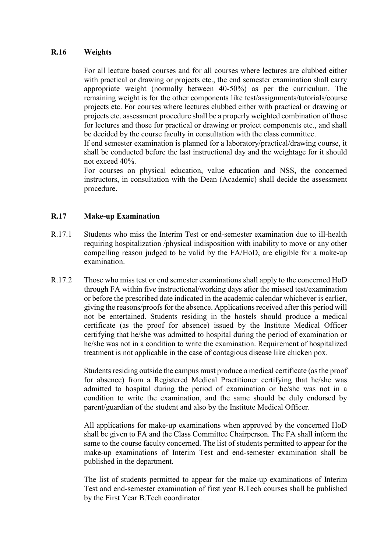#### **R.16 Weights**

For all lecture based courses and for all courses where lectures are clubbed either with practical or drawing or projects etc., the end semester examination shall carry appropriate weight (normally between 40-50%) as per the curriculum. The remaining weight is for the other components like test/assignments/tutorials/course projects etc. For courses where lectures clubbed either with practical or drawing or projects etc. assessment procedure shall be a properly weighted combination of those for lectures and those for practical or drawing or project components etc., and shall be decided by the course faculty in consultation with the class committee.

If end semester examination is planned for a laboratory/practical/drawing course, it shall be conducted before the last instructional day and the weightage for it should not exceed 40%.

For courses on physical education, value education and NSS, the concerned instructors, in consultation with the Dean (Academic) shall decide the assessment procedure.

## **R.17 Make-up Examination**

- R.17.1 Students who miss the Interim Test or end-semester examination due to ill-health requiring hospitalization /physical indisposition with inability to move or any other compelling reason judged to be valid by the FA/HoD, are eligible for a make-up examination.
- R.17.2 Those who miss test or end semester examinations shall apply to the concerned HoD through FA within five instructional/working days after the missed test/examination or before the prescribed date indicated in the academic calendar whichever is earlier, giving the reasons/proofs for the absence. Applications received after this period will not be entertained. Students residing in the hostels should produce a medical certificate (as the proof for absence) issued by the Institute Medical Officer certifying that he/she was admitted to hospital during the period of examination or he/she was not in a condition to write the examination. Requirement of hospitalized treatment is not applicable in the case of contagious disease like chicken pox.

Students residing outside the campus must produce a medical certificate (as the proof for absence) from a Registered Medical Practitioner certifying that he/she was admitted to hospital during the period of examination or he/she was not in a condition to write the examination, and the same should be duly endorsed by parent/guardian of the student and also by the Institute Medical Officer.

All applications for make-up examinations when approved by the concerned HoD shall be given to FA and the Class Committee Chairperson. The FA shall inform the same to the course faculty concerned. The list of students permitted to appear for the make-up examinations of Interim Test and end-semester examination shall be published in the department.

The list of students permitted to appear for the make-up examinations of Interim Test and end-semester examination of first year B.Tech courses shall be published by the First Year B.Tech coordinator.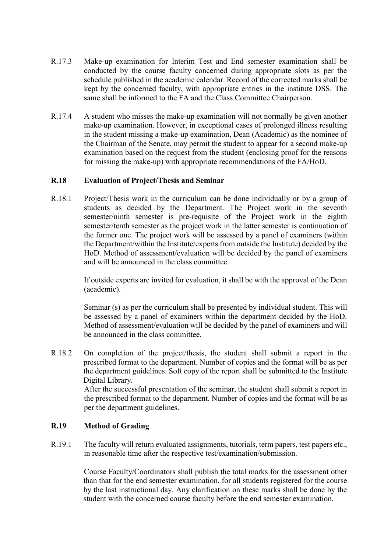- R.17.3 Make-up examination for Interim Test and End semester examination shall be conducted by the course faculty concerned during appropriate slots as per the schedule published in the academic calendar. Record of the corrected marks shall be kept by the concerned faculty, with appropriate entries in the institute DSS. The same shall be informed to the FA and the Class Committee Chairperson.
- R.17.4 A student who misses the make-up examination will not normally be given another make-up examination. However, in exceptional cases of prolonged illness resulting in the student missing a make-up examination, Dean (Academic) as the nominee of the Chairman of the Senate, may permit the student to appear for a second make-up examination based on the request from the student (enclosing proof for the reasons for missing the make-up) with appropriate recommendations of the FA/HoD.

## **R.18 Evaluation of Project/Thesis and Seminar**

R.18.1 Project/Thesis work in the curriculum can be done individually or by a group of students as decided by the Department. The Project work in the seventh semester/ninth semester is pre-requisite of the Project work in the eighth semester/tenth semester as the project work in the latter semester is continuation of the former one. The project work will be assessed by a panel of examiners (within the Department/within the Institute/experts from outside the Institute) decided by the HoD. Method of assessment/evaluation will be decided by the panel of examiners and will be announced in the class committee.

> If outside experts are invited for evaluation, it shall be with the approval of the Dean (academic).

> Seminar (s) as per the curriculum shall be presented by individual student. This will be assessed by a panel of examiners within the department decided by the HoD. Method of assessment/evaluation will be decided by the panel of examiners and will be announced in the class committee.

R.18.2 On completion of the project/thesis, the student shall submit a report in the prescribed format to the department. Number of copies and the format will be as per the department guidelines. Soft copy of the report shall be submitted to the Institute Digital Library.

After the successful presentation of the seminar, the student shall submit a report in the prescribed format to the department. Number of copies and the format will be as per the department guidelines.

#### **R.19 Method of Grading**

R.19.1 The faculty will return evaluated assignments, tutorials, term papers, test papers etc., in reasonable time after the respective test/examination/submission.

> Course Faculty/Coordinators shall publish the total marks for the assessment other than that for the end semester examination, for all students registered for the course by the last instructional day. Any clarification on these marks shall be done by the student with the concerned course faculty before the end semester examination.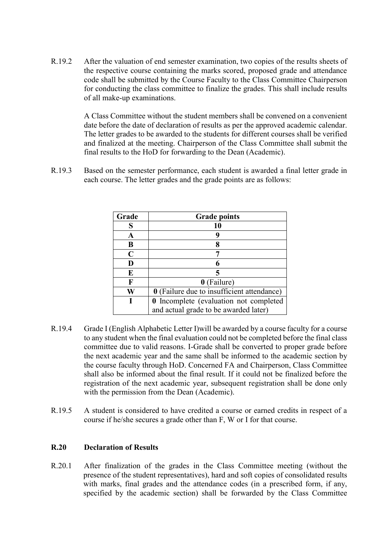R.19.2 After the valuation of end semester examination, two copies of the results sheets of the respective course containing the marks scored, proposed grade and attendance code shall be submitted by the Course Faculty to the Class Committee Chairperson for conducting the class committee to finalize the grades. This shall include results of all make-up examinations.

> A Class Committee without the student members shall be convened on a convenient date before the date of declaration of results as per the approved academic calendar. The letter grades to be awarded to the students for different courses shall be verified and finalized at the meeting. Chairperson of the Class Committee shall submit the final results to the HoD for forwarding to the Dean (Academic).

R.19.3 Based on the semester performance, each student is awarded a final letter grade in each course. The letter grades and the grade points are as follows:

| Grade       | <b>Grade points</b>                        |  |
|-------------|--------------------------------------------|--|
| S           | 10                                         |  |
| A           |                                            |  |
| В           |                                            |  |
| $\mathbf C$ |                                            |  |
| D           |                                            |  |
| E           |                                            |  |
| F           | 0 (Failure)                                |  |
| W           | 0 (Failure due to insufficient attendance) |  |
|             | 0 Incomplete (evaluation not completed     |  |
|             | and actual grade to be awarded later)      |  |

- R.19.4 Grade I (English Alphabetic Letter I)will be awarded by a course faculty for a course to any student when the final evaluation could not be completed before the final class committee due to valid reasons. I-Grade shall be converted to proper grade before the next academic year and the same shall be informed to the academic section by the course faculty through HoD. Concerned FA and Chairperson, Class Committee shall also be informed about the final result. If it could not be finalized before the registration of the next academic year, subsequent registration shall be done only with the permission from the Dean (Academic).
- R.19.5 A student is considered to have credited a course or earned credits in respect of a course if he/she secures a grade other than F, W or I for that course.

#### **R.20 Declaration of Results**

R.20.1 After finalization of the grades in the Class Committee meeting (without the presence of the student representatives), hard and soft copies of consolidated results with marks, final grades and the attendance codes (in a prescribed form, if any, specified by the academic section) shall be forwarded by the Class Committee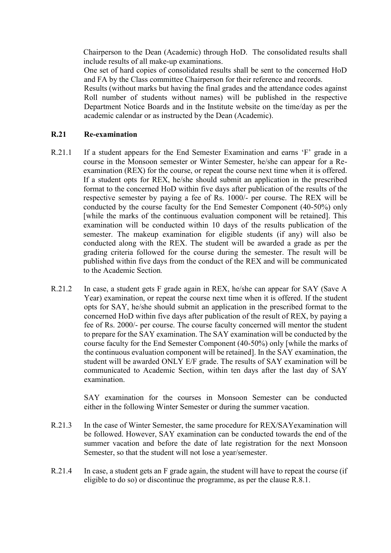Chairperson to the Dean (Academic) through HoD. The consolidated results shall include results of all make-up examinations.

One set of hard copies of consolidated results shall be sent to the concerned HoD and FA by the Class committee Chairperson for their reference and records.

Results (without marks but having the final grades and the attendance codes against Roll number of students without names) will be published in the respective Department Notice Boards and in the Institute website on the time/day as per the academic calendar or as instructed by the Dean (Academic).

#### **R.21 Re-examination**

- R.21.1 If a student appears for the End Semester Examination and earns 'F' grade in a course in the Monsoon semester or Winter Semester, he/she can appear for a Reexamination (REX) for the course, or repeat the course next time when it is offered. If a student opts for REX, he/she should submit an application in the prescribed format to the concerned HoD within five days after publication of the results of the respective semester by paying a fee of Rs. 1000/- per course. The REX will be conducted by the course faculty for the End Semester Component (40-50%) only [while the marks of the continuous evaluation component will be retained]. This examination will be conducted within 10 days of the results publication of the semester. The makeup examination for eligible students (if any) will also be conducted along with the REX. The student will be awarded a grade as per the grading criteria followed for the course during the semester. The result will be published within five days from the conduct of the REX and will be communicated to the Academic Section*.*
- R.21.2 In case, a student gets F grade again in REX, he/she can appear for SAY (Save A Year) examination, or repeat the course next time when it is offered. If the student opts for SAY, he/she should submit an application in the prescribed format to the concerned HoD within five days after publication of the result of REX, by paying a fee of Rs. 2000/- per course. The course faculty concerned will mentor the student to prepare for the SAY examination. The SAY examination will be conducted by the course faculty for the End Semester Component (40-50%) only [while the marks of the continuous evaluation component will be retained]. In the SAY examination, the student will be awarded ONLY E/F grade. The results of SAY examination will be communicated to Academic Section, within ten days after the last day of SAY examination.

SAY examination for the courses in Monsoon Semester can be conducted either in the following Winter Semester or during the summer vacation.

- R.21.3 In the case of Winter Semester, the same procedure for REX/SAYexamination will be followed. However, SAY examination can be conducted towards the end of the summer vacation and before the date of late registration for the next Monsoon Semester, so that the student will not lose a year/semester.
- R.21.4 In case, a student gets an F grade again, the student will have to repeat the course (if eligible to do so) or discontinue the programme, as per the clause R.8.1.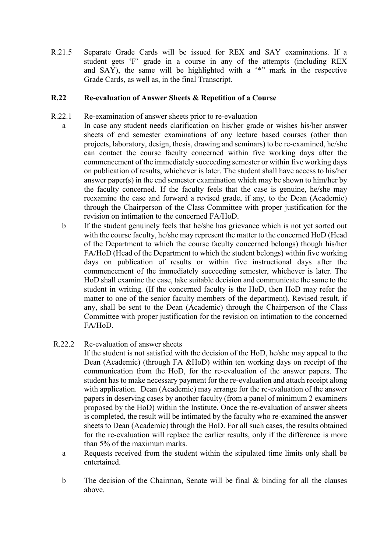R.21.5 Separate Grade Cards will be issued for REX and SAY examinations. If a student gets 'F' grade in a course in any of the attempts (including REX and SAY), the same will be highlighted with a '\*" mark in the respective Grade Cards, as well as, in the final Transcript.

### **R.22 Re-evaluation of Answer Sheets & Repetition of a Course**

- R.22.1 Re-examination of answer sheets prior to re-evaluation
	- a In case any student needs clarification on his/her grade or wishes his/her answer sheets of end semester examinations of any lecture based courses (other than projects, laboratory, design, thesis, drawing and seminars) to be re-examined, he/she can contact the course faculty concerned within five working days after the commencement of the immediately succeeding semester or within five working days on publication of results, whichever is later. The student shall have access to his/her answer paper(s) in the end semester examination which may be shown to him/her by the faculty concerned. If the faculty feels that the case is genuine, he/she may reexamine the case and forward a revised grade, if any, to the Dean (Academic) through the Chairperson of the Class Committee with proper justification for the revision on intimation to the concerned FA/HoD.
	- b If the student genuinely feels that he/she has grievance which is not yet sorted out with the course faculty, he/she may represent the matter to the concerned HoD (Head of the Department to which the course faculty concerned belongs) though his/her FA/HoD (Head of the Department to which the student belongs) within five working days on publication of results or within five instructional days after the commencement of the immediately succeeding semester, whichever is later. The HoD shall examine the case, take suitable decision and communicate the same to the student in writing. (If the concerned faculty is the HoD, then HoD may refer the matter to one of the senior faculty members of the department). Revised result, if any, shall be sent to the Dean (Academic) through the Chairperson of the Class Committee with proper justification for the revision on intimation to the concerned FA/HoD.
- R.22.2 Re-evaluation of answer sheets
	- If the student is not satisfied with the decision of the HoD, he/she may appeal to the Dean (Academic) (through FA &HoD) within ten working days on receipt of the communication from the HoD, for the re-evaluation of the answer papers. The student has to make necessary payment for the re-evaluation and attach receipt along with application. Dean (Academic) may arrange for the re-evaluation of the answer papers in deserving cases by another faculty (from a panel of minimum 2 examiners proposed by the HoD) within the Institute. Once the re-evaluation of answer sheets is completed, the result will be intimated by the faculty who re-examined the answer sheets to Dean (Academic) through the HoD. For all such cases, the results obtained for the re-evaluation will replace the earlier results, only if the difference is more than 5% of the maximum marks.
	- a Requests received from the student within the stipulated time limits only shall be entertained.
	- b The decision of the Chairman, Senate will be final & binding for all the clauses above.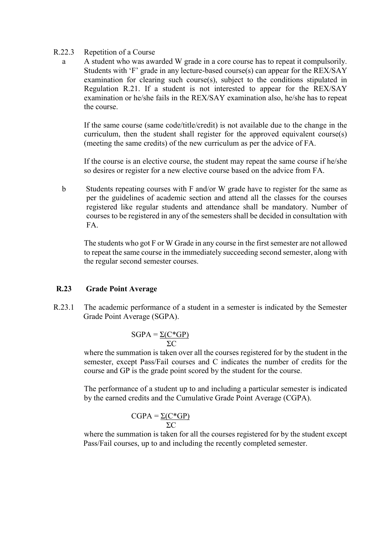#### R.22.3 Repetition of a Course

a A student who was awarded W grade in a core course has to repeat it compulsorily. Students with 'F' grade in any lecture-based course(s) can appear for the REX/SAY examination for clearing such course(s), subject to the conditions stipulated in Regulation R.21. If a student is not interested to appear for the REX/SAY examination or he/she fails in the REX/SAY examination also, he/she has to repeat the course.

If the same course (same code/title/credit) is not available due to the change in the curriculum, then the student shall register for the approved equivalent course(s) (meeting the same credits) of the new curriculum as per the advice of FA.

If the course is an elective course, the student may repeat the same course if he/she so desires or register for a new elective course based on the advice from FA.

b Students repeating courses with F and/or W grade have to register for the same as per the guidelines of academic section and attend all the classes for the courses registered like regular students and attendance shall be mandatory. Number of courses to be registered in any of the semesters shall be decided in consultation with FA.

The students who got F or W Grade in any course in the first semester are not allowed to repeat the same course in the immediately succeeding second semester, along with the regular second semester courses.

#### **R.23 Grade Point Average**

R.23.1 The academic performance of a student in a semester is indicated by the Semester Grade Point Average (SGPA).

$$
SGPA = \frac{\Sigma (C^*GP)}{\Sigma C}
$$

where the summation is taken over all the courses registered for by the student in the semester, except Pass/Fail courses and C indicates the number of credits for the course and GP is the grade point scored by the student for the course.

The performance of a student up to and including a particular semester is indicated by the earned credits and the Cumulative Grade Point Average (CGPA).

$$
CGPA = \frac{\Sigma(C*GP)}{\Sigma C}
$$

where the summation is taken for all the courses registered for by the student except Pass/Fail courses, up to and including the recently completed semester.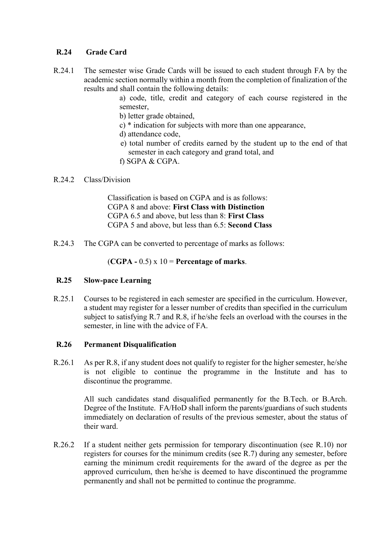## **R.24 Grade Card**

R.24.1 The semester wise Grade Cards will be issued to each student through FA by the academic section normally within a month from the completion of finalization of the results and shall contain the following details:

> a) code, title, credit and category of each course registered in the semester,

- b) letter grade obtained,
- c) \* indication for subjects with more than one appearance,
- d) attendance code,
- e) total number of credits earned by the student up to the end of that semester in each category and grand total, and
- f) SGPA & CGPA.

#### R.24.2 Class/Division

Classification is based on CGPA and is as follows: CGPA 8 and above: **First Class with Distinction**  CGPA 6.5 and above, but less than 8: **First Class**  CGPA 5 and above, but less than 6.5: **Second Class**

R.24.3 The CGPA can be converted to percentage of marks as follows:

(**CGPA -** 0.5) x 10 = **Percentage of marks**.

#### **R.25 Slow-pace Learning**

R.25.1 Courses to be registered in each semester are specified in the curriculum. However, a student may register for a lesser number of credits than specified in the curriculum subject to satisfying R.7 and R.8, if he/she feels an overload with the courses in the semester, in line with the advice of FA.

#### **R.26 Permanent Disqualification**

R.26.1 As per R.8, if any student does not qualify to register for the higher semester, he/she is not eligible to continue the programme in the Institute and has to discontinue the programme.

> All such candidates stand disqualified permanently for the B.Tech. or B.Arch. Degree of the Institute. FA/HoD shall inform the parents/guardians of such students immediately on declaration of results of the previous semester, about the status of their ward.

R.26.2 If a student neither gets permission for temporary discontinuation (see R.10) nor registers for courses for the minimum credits (see R.7) during any semester, before earning the minimum credit requirements for the award of the degree as per the approved curriculum, then he/she is deemed to have discontinued the programme permanently and shall not be permitted to continue the programme.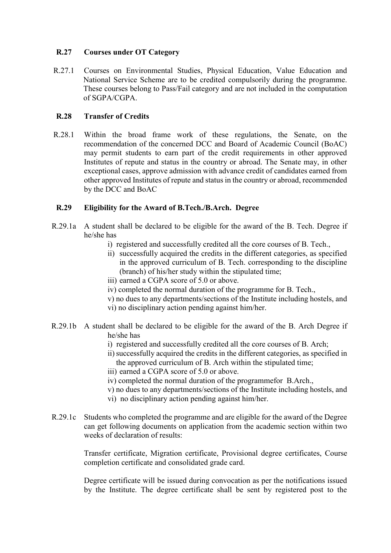### **R.27 Courses under OT Category**

R.27.1 Courses on Environmental Studies, Physical Education, Value Education and National Service Scheme are to be credited compulsorily during the programme. These courses belong to Pass/Fail category and are not included in the computation of SGPA/CGPA.

### **R.28 Transfer of Credits**

R.28.1 Within the broad frame work of these regulations, the Senate, on the recommendation of the concerned DCC and Board of Academic Council (BoAC) may permit students to earn part of the credit requirements in other approved Institutes of repute and status in the country or abroad. The Senate may, in other exceptional cases, approve admission with advance credit of candidates earned from other approved Institutes of repute and status in the country or abroad, recommended by the DCC and BoAC

#### **R.29 Eligibility for the Award of B.Tech./B.Arch. Degree**

- R.29.1a A student shall be declared to be eligible for the award of the B. Tech. Degree if he/she has
	- i) registered and successfully credited all the core courses of B. Tech.,
	- ii) successfully acquired the credits in the different categories, as specified in the approved curriculum of B. Tech. corresponding to the discipline (branch) of his/her study within the stipulated time;
	- iii) earned a CGPA score of 5.0 or above.
	- iv) completed the normal duration of the programme for B. Tech.,
	- v) no dues to any departments/sections of the Institute including hostels, and
	- vi) no disciplinary action pending against him/her.
- R.29.1b A student shall be declared to be eligible for the award of the B. Arch Degree if he/she has
	- i) registered and successfully credited all the core courses of B. Arch;
	- ii)successfully acquired the credits in the different categories, as specified in the approved curriculum of B. Arch within the stipulated time;
	- iii) earned a CGPA score of 5.0 or above.
	- iv) completed the normal duration of the programmefor B.Arch.,
	- v) no dues to any departments/sections of the Institute including hostels, and
	- vi) no disciplinary action pending against him/her.
- R.29.1c Students who completed the programme and are eligible for the award of the Degree can get following documents on application from the academic section within two weeks of declaration of results:

Transfer certificate, Migration certificate, Provisional degree certificates, Course completion certificate and consolidated grade card.

Degree certificate will be issued during convocation as per the notifications issued by the Institute. The degree certificate shall be sent by registered post to the